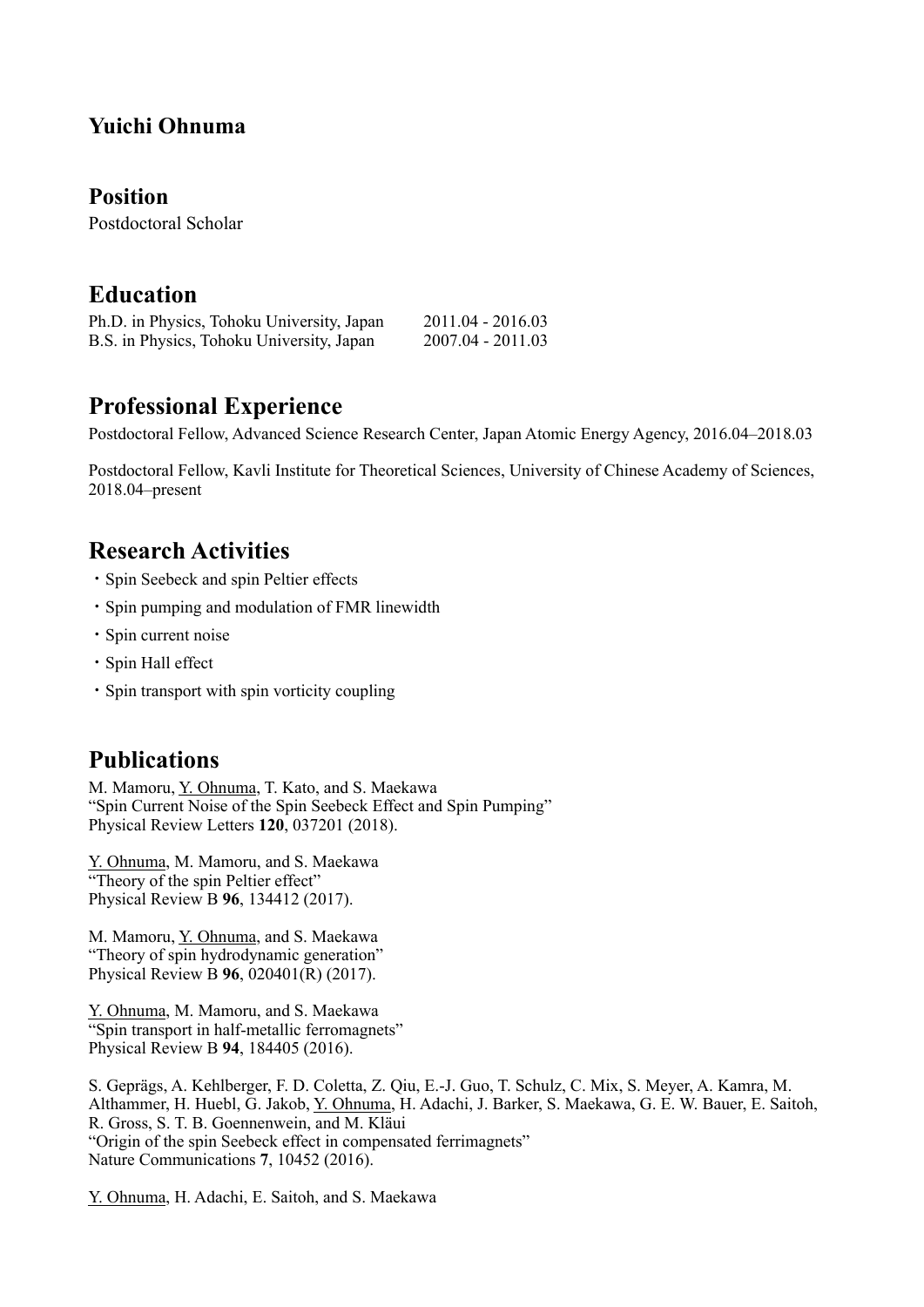## **Yuichi Ohnuma**

#### **Position**

Postdoctoral Scholar

#### **Education**

| Ph.D. in Physics, Tohoku University, Japan | $2011.04 - 2016.03$ |
|--------------------------------------------|---------------------|
| B.S. in Physics, Tohoku University, Japan  | 2007.04 - 2011.03   |

## **Professional Experience**

Postdoctoral Fellow, Advanced Science Research Center, Japan Atomic Energy Agency, 2016.04–2018.03

Postdoctoral Fellow, Kavli Institute for Theoretical Sciences, University of Chinese Academy of Sciences, 2018.04–present

## **Research Activities**

- ・Spin Seebeck and spin Peltier effects
- ・Spin pumping and modulation of FMR linewidth
- ・Spin current noise
- ・Spin Hall effect
- ・Spin transport with spin vorticity coupling

## **Publications**

M. Mamoru, Y. Ohnuma, T. Kato, and S. Maekawa "Spin Current Noise of the Spin Seebeck Effect and Spin Pumping" Physical Review Letters **120**, 037201 (2018).

Y. Ohnuma, M. Mamoru, and S. Maekawa "Theory of the spin Peltier effect" Physical Review B **96**, 134412 (2017).

M. Mamoru, Y. Ohnuma, and S. Maekawa "Theory of spin hydrodynamic generation" Physical Review B **96**, 020401(R) (2017).

Y. Ohnuma, M. Mamoru, and S. Maekawa "Spin transport in half-metallic ferromagnets" Physical Review B **94**, 184405 (2016).

S. Geprägs, A. Kehlberger, F. D. Coletta, Z. Qiu, E.-J. Guo, T. Schulz, C. Mix, S. Meyer, A. Kamra, M. Althammer, H. Huebl, G. Jakob, Y. Ohnuma, H. Adachi, J. Barker, S. Maekawa, G. E. W. Bauer, E. Saitoh, R. Gross, S. T. B. Goennenwein, and M. Kläui "Origin of the spin Seebeck effect in compensated ferrimagnets" Nature Communications **7**, 10452 (2016).

Y. Ohnuma, H. Adachi, E. Saitoh, and S. Maekawa